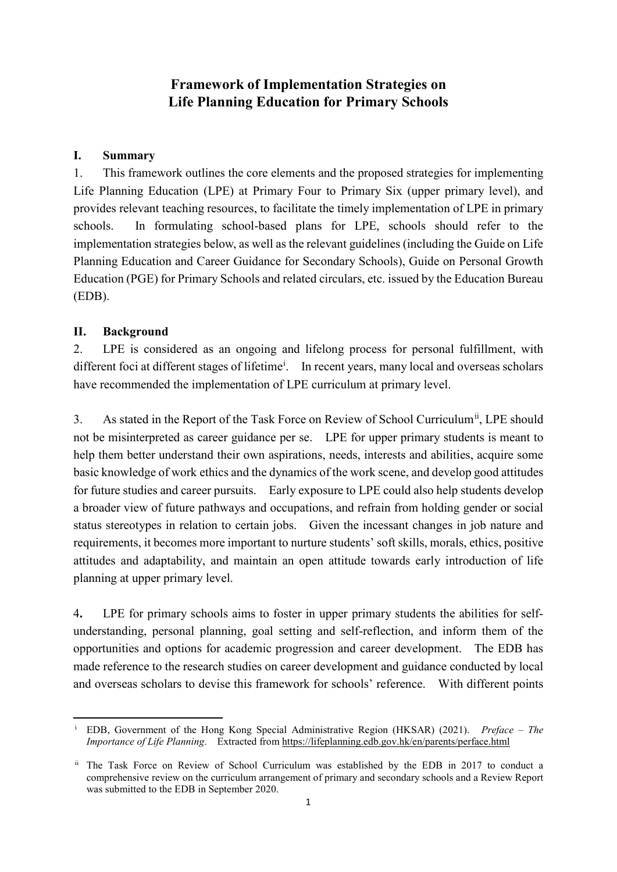## **Framework of Implementation Strategies on Life Planning Education for Primary Schools**

### **I. Summary**

1. This framework outlines the core elements and the proposed strategies for implementing Life Planning Education (LPE) at Primary Four to Primary Six (upper primary level), and provides relevant teaching resources, to facilitate the timely implementation of LPE in primary schools. In formulating school-based plans for LPE, schools should refer to the implementation strategies below, as well as the relevant guidelines (including the Guide on Life Planning Education and Career Guidance for Secondary Schools), Guide on Personal Growth Education (PGE) for Primary Schools and related circulars, etc. issued by the Education Bureau (EDB).

#### **II. Background**

2. LPE is considered as an ongoing and lifelong process for personal fulfillment, with d[i](#page-0-0)fferent foci at different stages of lifetime<sup>i</sup>. In recent years, many local and overseas scholars have recommended the implementation of LPE curriculum at primary level.

3. As stated in the Report of the Task Force on Review of School Curriculum<sup>[ii](#page-0-1)</sup>, LPE should not be misinterpreted as career guidance per se. LPE for upper primary students is meant to help them better understand their own aspirations, needs, interests and abilities, acquire some basic knowledge of work ethics and the dynamics of the work scene, and develop good attitudes for future studies and career pursuits. Early exposure to LPE could also help students develop a broader view of future pathways and occupations, and refrain from holding gender or social status stereotypes in relation to certain jobs. Given the incessant changes in job nature and requirements, it becomes more important to nurture students' soft skills, morals, ethics, positive attitudes and adaptability, and maintain an open attitude towards early introduction of life planning at upper primary level.

4**.** LPE for primary schools aims to foster in upper primary students the abilities for selfunderstanding, personal planning, goal setting and self-reflection, and inform them of the opportunities and options for academic progression and career development. The EDB has made reference to the research studies on career development and guidance conducted by local and overseas scholars to devise this framework for schools' reference. With different points

<span id="page-0-0"></span><sup>&</sup>lt;u>.</u> <sup>i</sup> EDB, Government of the Hong Kong Special Administrative Region (HKSAR) (2021). *Preface – The Importance of Life Planning*. Extracted from [https://lifeplanning.edb.gov.hk/en/parents/perface.html](https://lifeplanning.edb.gov.hk/tc/parents/perface.html)

<span id="page-0-1"></span>ii The Task Force on Review of School Curriculum was established by the EDB in 2017 to conduct a comprehensive review on the curriculum arrangement of primary and secondary schools and a Review Report was submitted to the EDB in September 2020.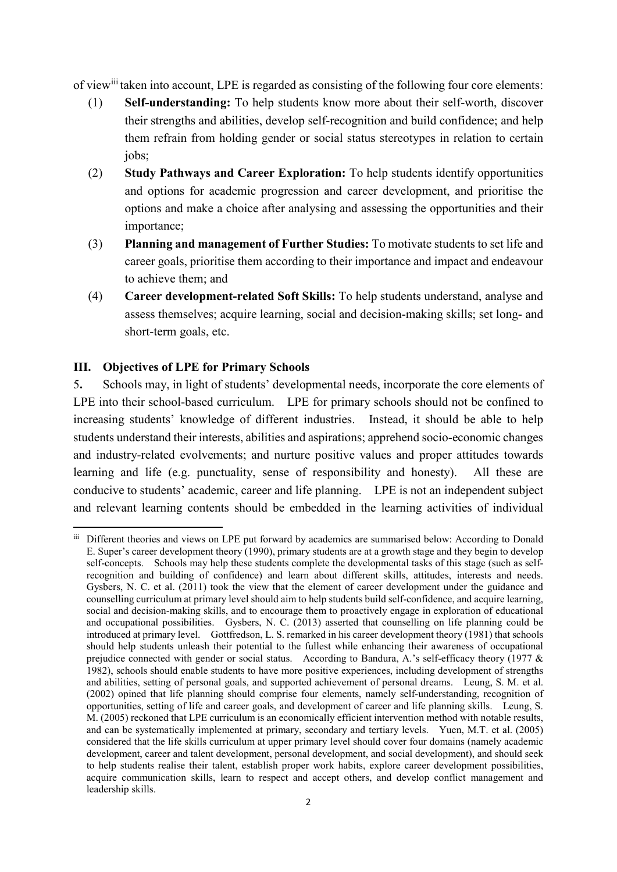of view<sup>[ii](#page-1-0)i</sup> taken into account, LPE is regarded as consisting of the following four core elements:

- (1) **Self-understanding:** To help students know more about their self-worth, discover their strengths and abilities, develop self-recognition and build confidence; and help them refrain from holding gender or social status stereotypes in relation to certain jobs;
- (2) **Study Pathways and Career Exploration:** To help students identify opportunities and options for academic progression and career development, and prioritise the options and make a choice after analysing and assessing the opportunities and their importance;
- (3) **Planning and management of Further Studies:** To motivate students to set life and career goals, prioritise them according to their importance and impact and endeavour to achieve them; and
- (4) **Career development-related Soft Skills:** To help students understand, analyse and assess themselves; acquire learning, social and decision-making skills; set long- and short-term goals, etc.

#### **III. Objectives of LPE for Primary Schools**

1

5**.** Schools may, in light of students' developmental needs, incorporate the core elements of LPE into their school-based curriculum. LPE for primary schools should not be confined to increasing students' knowledge of different industries. Instead, it should be able to help students understand their interests, abilities and aspirations; apprehend socio-economic changes and industry-related evolvements; and nurture positive values and proper attitudes towards learning and life (e.g. punctuality, sense of responsibility and honesty). All these are conducive to students' academic, career and life planning. LPE is not an independent subject and relevant learning contents should be embedded in the learning activities of individual

<span id="page-1-0"></span>iii Different theories and views on LPE put forward by academics are summarised below: According to Donald E. Super's career development theory (1990), primary students are at a growth stage and they begin to develop self-concepts. Schools may help these students complete the developmental tasks of this stage (such as selfrecognition and building of confidence) and learn about different skills, attitudes, interests and needs. Gysbers, N. C. et al. (2011) took the view that the element of career development under the guidance and counselling curriculum at primary level should aim to help students build self-confidence, and acquire learning, social and decision-making skills, and to encourage them to proactively engage in exploration of educational and occupational possibilities. Gysbers, N. C. (2013) asserted that counselling on life planning could be introduced at primary level. Gottfredson, L. S. remarked in his career development theory (1981) that schools should help students unleash their potential to the fullest while enhancing their awareness of occupational prejudice connected with gender or social status. According to Bandura, A.'s self-efficacy theory (1977 & 1982), schools should enable students to have more positive experiences, including development of strengths and abilities, setting of personal goals, and supported achievement of personal dreams. Leung, S. M. et al. (2002) opined that life planning should comprise four elements, namely self-understanding, recognition of opportunities, setting of life and career goals, and development of career and life planning skills. Leung, S. M. (2005) reckoned that LPE curriculum is an economically efficient intervention method with notable results, and can be systematically implemented at primary, secondary and tertiary levels. Yuen, M.T. et al. (2005) considered that the life skills curriculum at upper primary level should cover four domains (namely academic development, career and talent development, personal development, and social development), and should seek to help students realise their talent, establish proper work habits, explore career development possibilities, acquire communication skills, learn to respect and accept others, and develop conflict management and leadership skills.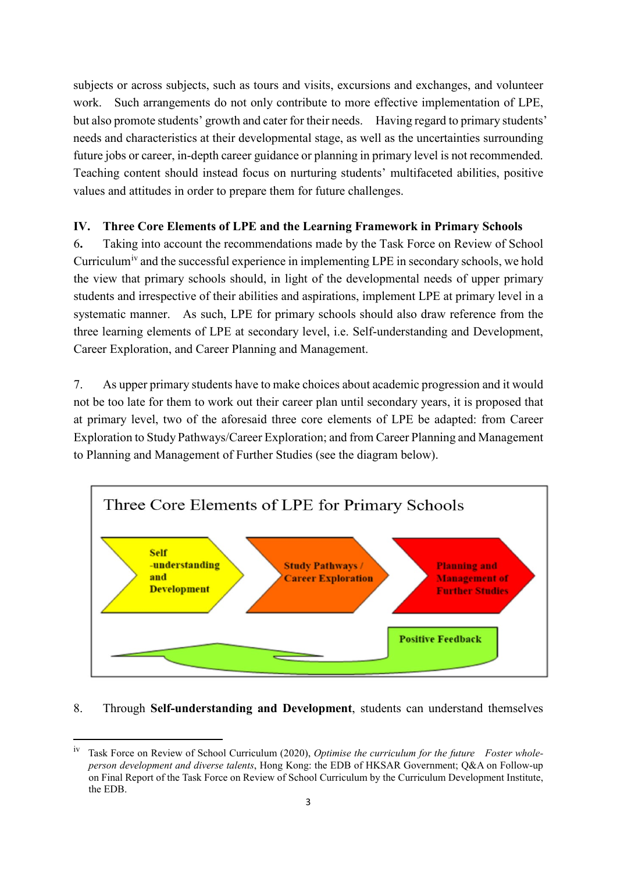subjects or across subjects, such as tours and visits, excursions and exchanges, and volunteer work. Such arrangements do not only contribute to more effective implementation of LPE, but also promote students' growth and cater for their needs. Having regard to primary students' needs and characteristics at their developmental stage, as well as the uncertainties surrounding future jobs or career, in-depth career guidance or planning in primary level is not recommended. Teaching content should instead focus on nurturing students' multifaceted abilities, positive values and attitudes in order to prepare them for future challenges.

## **IV. Three Core Elements of LPE and the Learning Framework in Primary Schools**

6**.** Taking into account the recommendations made by the Task Force on Review of School Curr[i](#page-2-0)culum<sup>iv</sup> and the successful experience in implementing LPE in secondary schools, we hold the view that primary schools should, in light of the developmental needs of upper primary students and irrespective of their abilities and aspirations, implement LPE at primary level in a systematic manner. As such, LPE for primary schools should also draw reference from the three learning elements of LPE at secondary level, i.e. Self-understanding and Development, Career Exploration, and Career Planning and Management.

7. As upper primary students have to make choices about academic progression and it would not be too late for them to work out their career plan until secondary years, it is proposed that at primary level, two of the aforesaid three core elements of LPE be adapted: from Career Exploration to Study Pathways/Career Exploration; and from Career Planning and Management to Planning and Management of Further Studies (see the diagram below).



## 8. Through **Self-understanding and Development**, students can understand themselves

1

<span id="page-2-0"></span>iv Task Force on Review of School Curriculum (2020), *Optimise the curriculum for the future Foster wholeperson development and diverse talents*, Hong Kong: the EDB of HKSAR Government; Q&A on Follow-up on Final Report of the Task Force on Review of School Curriculum by the Curriculum Development Institute, the EDB.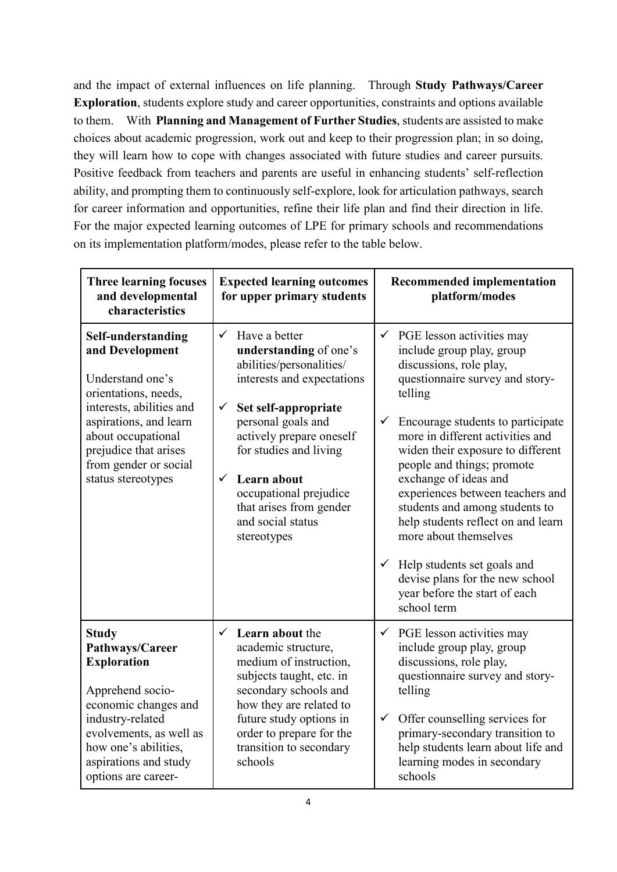and the impact of external influences on life planning. Through **Study Pathways/Career Exploration**, students explore study and career opportunities, constraints and options available to them. With **Planning and Management of Further Studies**, students are assisted to make choices about academic progression, work out and keep to their progression plan; in so doing, they will learn how to cope with changes associated with future studies and career pursuits. Positive feedback from teachers and parents are useful in enhancing students' self-reflection ability, and prompting them to continuously self-explore, look for articulation pathways, search for career information and opportunities, refine their life plan and find their direction in life. For the major expected learning outcomes of LPE for primary schools and recommendations on its implementation platform/modes, please refer to the table below.

| <b>Three learning focuses</b><br>and developmental<br>characteristics                                                                                                                                                    | <b>Expected learning outcomes</b><br>for upper primary students                                                                                                                                                                                               | <b>Recommended implementation</b><br>platform/modes                                                                                                                                                                                                                                                                                                                                                                                                   |
|--------------------------------------------------------------------------------------------------------------------------------------------------------------------------------------------------------------------------|---------------------------------------------------------------------------------------------------------------------------------------------------------------------------------------------------------------------------------------------------------------|-------------------------------------------------------------------------------------------------------------------------------------------------------------------------------------------------------------------------------------------------------------------------------------------------------------------------------------------------------------------------------------------------------------------------------------------------------|
| Self-understanding<br>and Development<br>Understand one's<br>orientations, needs,                                                                                                                                        | Have a better<br>$\checkmark$<br>understanding of one's<br>abilities/personalities/<br>interests and expectations                                                                                                                                             | $\checkmark$ PGE lesson activities may<br>include group play, group<br>discussions, role play,<br>questionnaire survey and story-<br>telling                                                                                                                                                                                                                                                                                                          |
| interests, abilities and<br>aspirations, and learn<br>about occupational<br>prejudice that arises<br>from gender or social<br>status stereotypes                                                                         | $\checkmark$<br>Set self-appropriate<br>personal goals and<br>actively prepare oneself<br>for studies and living<br>Learn about<br>$\checkmark$<br>occupational prejudice<br>that arises from gender<br>and social status<br>stereotypes                      | Encourage students to participate<br>$\checkmark$<br>more in different activities and<br>widen their exposure to different<br>people and things; promote<br>exchange of ideas and<br>experiences between teachers and<br>students and among students to<br>help students reflect on and learn<br>more about themselves<br>$\checkmark$ Help students set goals and<br>devise plans for the new school<br>year before the start of each<br>school term |
| <b>Study</b><br>Pathways/Career<br><b>Exploration</b><br>Apprehend socio-<br>economic changes and<br>industry-related<br>evolvements, as well as<br>how one's abilities,<br>aspirations and study<br>options are career- | Learn about the<br>$\checkmark$<br>academic structure,<br>medium of instruction,<br>subjects taught, etc. in<br>secondary schools and<br>how they are related to<br>future study options in<br>order to prepare for the<br>transition to secondary<br>schools | $\checkmark$ PGE lesson activities may<br>include group play, group<br>discussions, role play,<br>questionnaire survey and story-<br>telling<br>$\checkmark$<br>Offer counselling services for<br>primary-secondary transition to<br>help students learn about life and<br>learning modes in secondary<br>schools                                                                                                                                     |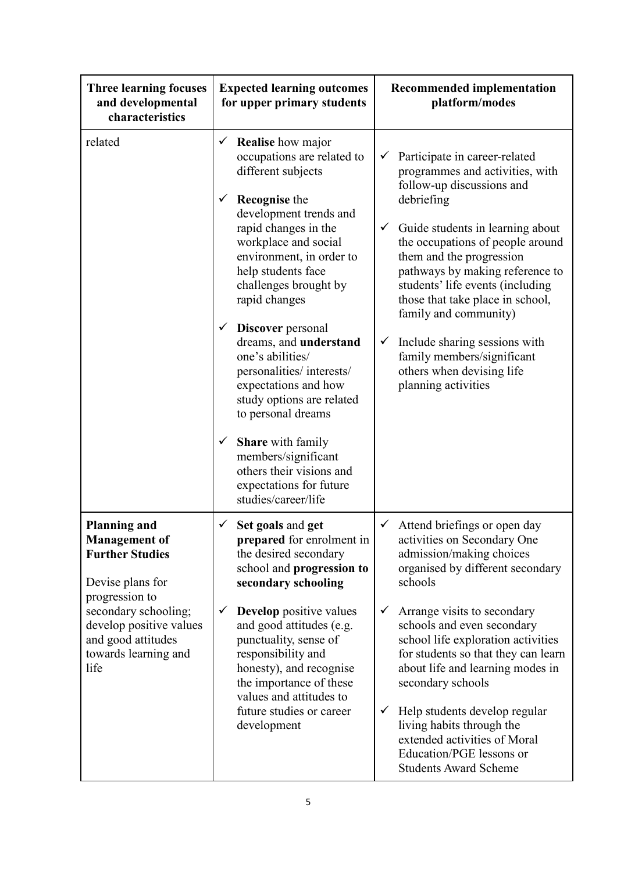| <b>Three learning focuses</b><br>and developmental<br>characteristics                                                                                                                                                | <b>Expected learning outcomes</b><br>for upper primary students                                                                                                                                                                                                                                                                                                                                                                                                                                                                                                                                                                        | <b>Recommended implementation</b><br>platform/modes                                                                                                                                                                                                                                                                                                                                                                                                                                                                                   |  |
|----------------------------------------------------------------------------------------------------------------------------------------------------------------------------------------------------------------------|----------------------------------------------------------------------------------------------------------------------------------------------------------------------------------------------------------------------------------------------------------------------------------------------------------------------------------------------------------------------------------------------------------------------------------------------------------------------------------------------------------------------------------------------------------------------------------------------------------------------------------------|---------------------------------------------------------------------------------------------------------------------------------------------------------------------------------------------------------------------------------------------------------------------------------------------------------------------------------------------------------------------------------------------------------------------------------------------------------------------------------------------------------------------------------------|--|
| related                                                                                                                                                                                                              | <b>Realise</b> how major<br>✓<br>occupations are related to<br>different subjects<br><b>Recognise</b> the<br>✓<br>development trends and<br>rapid changes in the<br>workplace and social<br>environment, in order to<br>help students face<br>challenges brought by<br>rapid changes<br>$\checkmark$<br><b>Discover</b> personal<br>dreams, and understand<br>one's abilities/<br>personalities/interests/<br>expectations and how<br>study options are related<br>to personal dreams<br><b>Share</b> with family<br>$\checkmark$<br>members/significant<br>others their visions and<br>expectations for future<br>studies/career/life | Participate in career-related<br>✓<br>programmes and activities, with<br>follow-up discussions and<br>debriefing<br>$\checkmark$<br>Guide students in learning about<br>the occupations of people around<br>them and the progression<br>pathways by making reference to<br>students' life events (including<br>those that take place in school,<br>family and community)<br>Include sharing sessions with<br>$\checkmark$<br>family members/significant<br>others when devising life<br>planning activities                           |  |
| <b>Planning and</b><br><b>Management</b> of<br><b>Further Studies</b><br>Devise plans for<br>progression to<br>secondary schooling;<br>develop positive values<br>and good attitudes<br>towards learning and<br>life | Set goals and get<br>✓<br>prepared for enrolment in<br>the desired secondary<br>school and progression to<br>secondary schooling<br><b>Develop</b> positive values<br>✓<br>and good attitudes (e.g.<br>punctuality, sense of<br>responsibility and<br>honesty), and recognise<br>the importance of these<br>values and attitudes to<br>future studies or career<br>development                                                                                                                                                                                                                                                         | $\checkmark$ Attend briefings or open day<br>activities on Secondary One<br>admission/making choices<br>organised by different secondary<br>schools<br>Arrange visits to secondary<br>$\checkmark$<br>schools and even secondary<br>school life exploration activities<br>for students so that they can learn<br>about life and learning modes in<br>secondary schools<br>Help students develop regular<br>✓<br>living habits through the<br>extended activities of Moral<br>Education/PGE lessons or<br><b>Students Award Scheme</b> |  |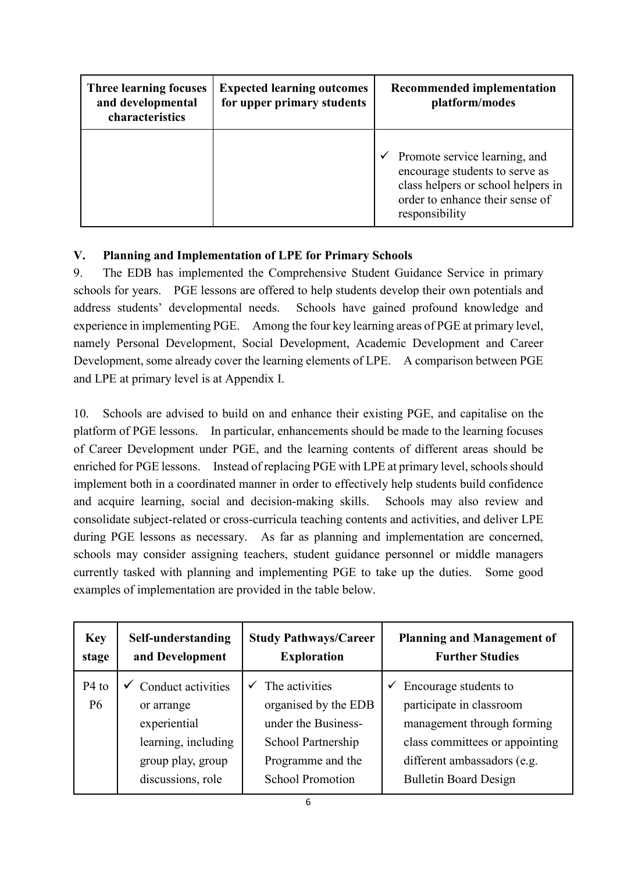| <b>Three learning focuses</b><br>and developmental<br>characteristics | <b>Expected learning outcomes</b><br>for upper primary students | <b>Recommended implementation</b><br>platform/modes                                                                                                        |
|-----------------------------------------------------------------------|-----------------------------------------------------------------|------------------------------------------------------------------------------------------------------------------------------------------------------------|
|                                                                       |                                                                 | Promote service learning, and<br>encourage students to serve as<br>class helpers or school helpers in<br>order to enhance their sense of<br>responsibility |

## **V. Planning and Implementation of LPE for Primary Schools**

9. The EDB has implemented the Comprehensive Student Guidance Service in primary schools for years. PGE lessons are offered to help students develop their own potentials and address students' developmental needs. Schools have gained profound knowledge and experience in implementing PGE. Among the four key learning areas of PGE at primary level, namely Personal Development, Social Development, Academic Development and Career Development, some already cover the learning elements of LPE. A comparison between PGE and LPE at primary level is at Appendix I.

10. Schools are advised to build on and enhance their existing PGE, and capitalise on the platform of PGE lessons. In particular, enhancements should be made to the learning focuses of Career Development under PGE, and the learning contents of different areas should be enriched for PGE lessons. Instead of replacing PGE with LPE at primary level, schools should implement both in a coordinated manner in order to effectively help students build confidence and acquire learning, social and decision-making skills. Schools may also review and consolidate subject-related or cross-curricula teaching contents and activities, and deliver LPE during PGE lessons as necessary. As far as planning and implementation are concerned, schools may consider assigning teachers, student guidance personnel or middle managers currently tasked with planning and implementing PGE to take up the duties. Some good examples of implementation are provided in the table below.

| <b>Key</b>           | Self-understanding                                                                                                | <b>Study Pathways/Career</b>                                                                                                        | <b>Planning and Management of</b>                                                                                                                                                     |
|----------------------|-------------------------------------------------------------------------------------------------------------------|-------------------------------------------------------------------------------------------------------------------------------------|---------------------------------------------------------------------------------------------------------------------------------------------------------------------------------------|
| stage                | and Development                                                                                                   | <b>Exploration</b>                                                                                                                  | <b>Further Studies</b>                                                                                                                                                                |
| $P4$ to<br><b>P6</b> | Conduct activities<br>or arrange<br>experiential<br>learning, including<br>group play, group<br>discussions, role | The activities<br>organised by the EDB<br>under the Business-<br>School Partnership<br>Programme and the<br><b>School Promotion</b> | Encourage students to<br>✓<br>participate in classroom<br>management through forming<br>class committees or appointing<br>different ambassadors (e.g.<br><b>Bulletin Board Design</b> |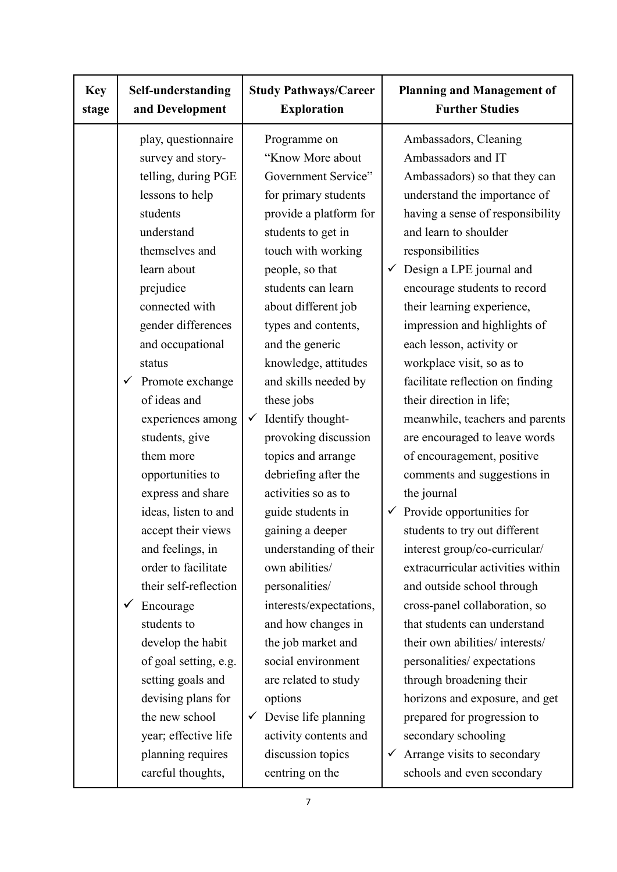| <b>Key</b><br>stage | Self-understanding<br><b>Study Pathways/Career</b><br>and Development<br><b>Exploration</b>                                                                                                                                                                                                                                                                                                                                                                                                                                                                                                                                                |                                                                                                                                                                                                                                                                                                                                                                                                                                                                                                                                                                                                                                                                                                                                                | <b>Planning and Management of</b><br><b>Further Studies</b>                                                                                                                                                                                                                                                                                                                                                                                                                                                                                                                                                                                                                                                                                                                                                                                                                                                                                                                                                             |
|---------------------|--------------------------------------------------------------------------------------------------------------------------------------------------------------------------------------------------------------------------------------------------------------------------------------------------------------------------------------------------------------------------------------------------------------------------------------------------------------------------------------------------------------------------------------------------------------------------------------------------------------------------------------------|------------------------------------------------------------------------------------------------------------------------------------------------------------------------------------------------------------------------------------------------------------------------------------------------------------------------------------------------------------------------------------------------------------------------------------------------------------------------------------------------------------------------------------------------------------------------------------------------------------------------------------------------------------------------------------------------------------------------------------------------|-------------------------------------------------------------------------------------------------------------------------------------------------------------------------------------------------------------------------------------------------------------------------------------------------------------------------------------------------------------------------------------------------------------------------------------------------------------------------------------------------------------------------------------------------------------------------------------------------------------------------------------------------------------------------------------------------------------------------------------------------------------------------------------------------------------------------------------------------------------------------------------------------------------------------------------------------------------------------------------------------------------------------|
|                     | play, questionnaire<br>survey and story-<br>telling, during PGE<br>lessons to help<br>students<br>understand<br>themselves and<br>learn about<br>prejudice<br>connected with<br>gender differences<br>and occupational<br>status<br>Promote exchange<br>$\checkmark$<br>of ideas and<br>experiences among<br>students, give<br>them more<br>opportunities to<br>express and share<br>ideas, listen to and<br>accept their views<br>and feelings, in<br>order to facilitate<br>their self-reflection<br>Encourage<br>students to<br>develop the habit<br>of goal setting, e.g.<br>setting goals and<br>devising plans for<br>the new school | Programme on<br>"Know More about<br>Government Service"<br>for primary students<br>provide a platform for<br>students to get in<br>touch with working<br>people, so that<br>students can learn<br>about different job<br>types and contents,<br>and the generic<br>knowledge, attitudes<br>and skills needed by<br>these jobs<br>Identify thought-<br>$\checkmark$<br>provoking discussion<br>topics and arrange<br>debriefing after the<br>activities so as to<br>guide students in<br>gaining a deeper<br>understanding of their<br>own abilities/<br>personalities/<br>interests/expectations,<br>and how changes in<br>the job market and<br>social environment<br>are related to study<br>options<br>Devise life planning<br>$\checkmark$ | Ambassadors, Cleaning<br>Ambassadors and IT<br>Ambassadors) so that they can<br>understand the importance of<br>having a sense of responsibility<br>and learn to shoulder<br>responsibilities<br>Design a LPE journal and<br>✓<br>encourage students to record<br>their learning experience,<br>impression and highlights of<br>each lesson, activity or<br>workplace visit, so as to<br>facilitate reflection on finding<br>their direction in life;<br>meanwhile, teachers and parents<br>are encouraged to leave words<br>of encouragement, positive<br>comments and suggestions in<br>the journal<br>Provide opportunities for<br>$\checkmark$<br>students to try out different<br>interest group/co-curricular/<br>extracurricular activities within<br>and outside school through<br>cross-panel collaboration, so<br>that students can understand<br>their own abilities/ interests/<br>personalities/ expectations<br>through broadening their<br>horizons and exposure, and get<br>prepared for progression to |
|                     | year; effective life<br>planning requires<br>careful thoughts,                                                                                                                                                                                                                                                                                                                                                                                                                                                                                                                                                                             | activity contents and<br>discussion topics<br>centring on the                                                                                                                                                                                                                                                                                                                                                                                                                                                                                                                                                                                                                                                                                  | secondary schooling<br>Arrange visits to secondary<br>✓<br>schools and even secondary                                                                                                                                                                                                                                                                                                                                                                                                                                                                                                                                                                                                                                                                                                                                                                                                                                                                                                                                   |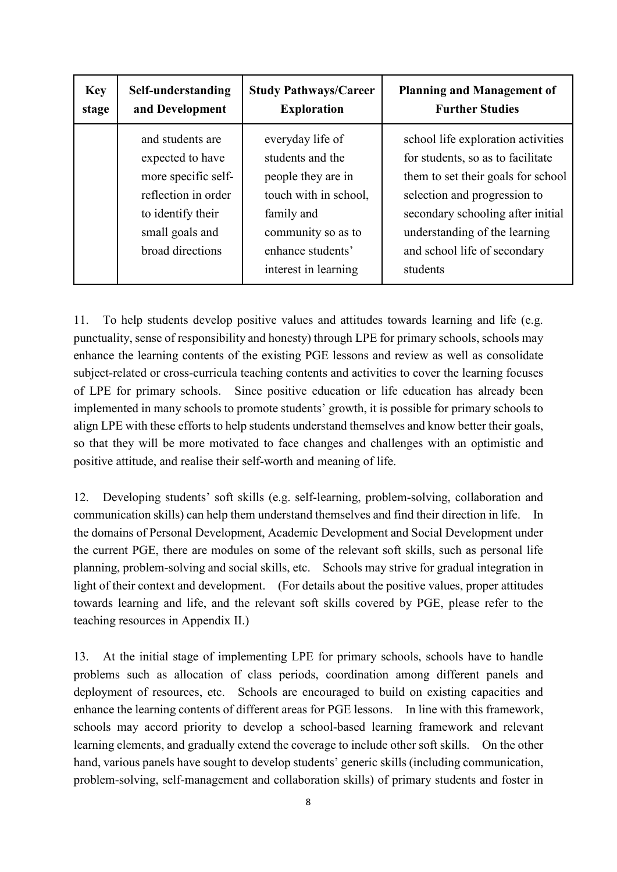| <b>Key</b> | Self-understanding                                                                                                                             | <b>Study Pathways/Career</b>                                                                                                                                         | <b>Planning and Management of</b>                                                                                                                                                                                                                               |
|------------|------------------------------------------------------------------------------------------------------------------------------------------------|----------------------------------------------------------------------------------------------------------------------------------------------------------------------|-----------------------------------------------------------------------------------------------------------------------------------------------------------------------------------------------------------------------------------------------------------------|
| stage      | and Development                                                                                                                                | <b>Exploration</b>                                                                                                                                                   | <b>Further Studies</b>                                                                                                                                                                                                                                          |
|            | and students are<br>expected to have<br>more specific self-<br>reflection in order<br>to identify their<br>small goals and<br>broad directions | everyday life of<br>students and the<br>people they are in<br>touch with in school,<br>family and<br>community so as to<br>enhance students'<br>interest in learning | school life exploration activities<br>for students, so as to facilitate<br>them to set their goals for school<br>selection and progression to<br>secondary schooling after initial<br>understanding of the learning<br>and school life of secondary<br>students |

11. To help students develop positive values and attitudes towards learning and life (e.g. punctuality, sense of responsibility and honesty) through LPE for primary schools, schools may enhance the learning contents of the existing PGE lessons and review as well as consolidate subject-related or cross-curricula teaching contents and activities to cover the learning focuses of LPE for primary schools. Since positive education or life education has already been implemented in many schools to promote students' growth, it is possible for primary schools to align LPE with these efforts to help students understand themselves and know better their goals, so that they will be more motivated to face changes and challenges with an optimistic and positive attitude, and realise their self-worth and meaning of life.

12. Developing students' soft skills (e.g. self-learning, problem-solving, collaboration and communication skills) can help them understand themselves and find their direction in life. In the domains of Personal Development, Academic Development and Social Development under the current PGE, there are modules on some of the relevant soft skills, such as personal life planning, problem-solving and social skills, etc. Schools may strive for gradual integration in light of their context and development. (For details about the positive values, proper attitudes towards learning and life, and the relevant soft skills covered by PGE, please refer to the teaching resources in Appendix II.)

13. At the initial stage of implementing LPE for primary schools, schools have to handle problems such as allocation of class periods, coordination among different panels and deployment of resources, etc. Schools are encouraged to build on existing capacities and enhance the learning contents of different areas for PGE lessons. In line with this framework, schools may accord priority to develop a school-based learning framework and relevant learning elements, and gradually extend the coverage to include other soft skills. On the other hand, various panels have sought to develop students' generic skills (including communication, problem-solving, self-management and collaboration skills) of primary students and foster in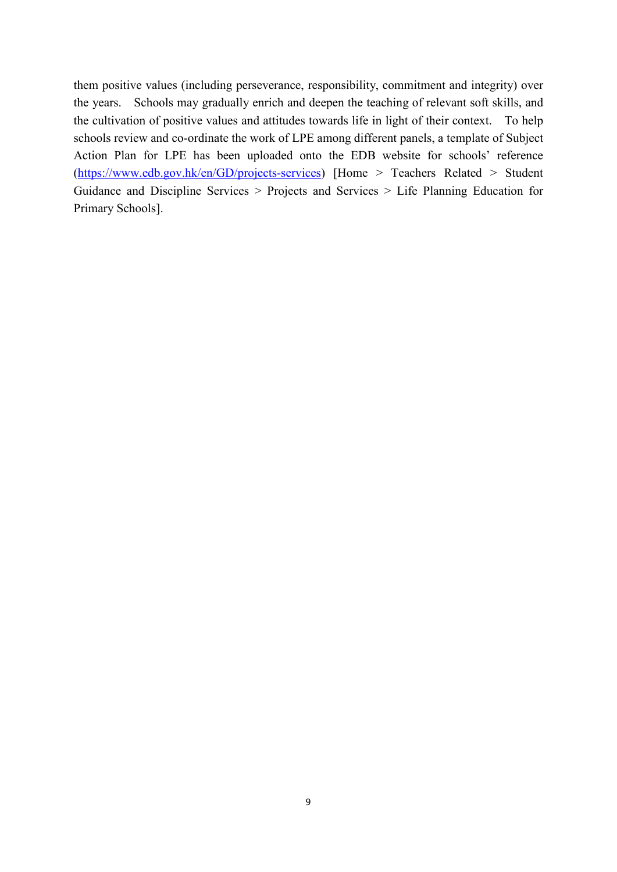them positive values (including perseverance, responsibility, commitment and integrity) over the years. Schools may gradually enrich and deepen the teaching of relevant soft skills, and the cultivation of positive values and attitudes towards life in light of their context. To help schools review and co-ordinate the work of LPE among different panels, a template of Subject Action Plan for LPE has been uploaded onto the EDB website for schools' reference [\(https://www.edb.gov.hk/en/GD/projects-services\)](https://www.edb.gov.hk/en/GD/projects-services) [Home > Teachers Related > Student Guidance and Discipline Services > Projects and Services > Life Planning Education for Primary Schools].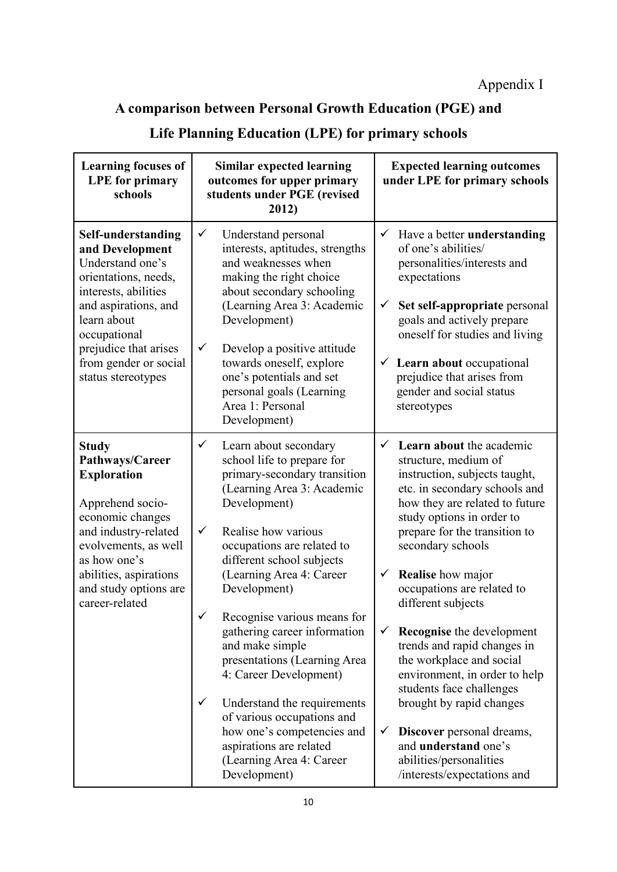# **A comparison between Personal Growth Education (PGE) and**

|  | Life Planning Education (LPE) for primary schools |
|--|---------------------------------------------------|
|--|---------------------------------------------------|

| <b>Learning focuses of</b><br><b>LPE</b> for primary<br>schools                                                                                                                                                                          | <b>Expected learning outcomes</b><br><b>Similar expected learning</b><br>outcomes for upper primary<br>under LPE for primary schools<br>students under PGE (revised<br>2012)                                                                                                                                                                                                                                                                                |                                                                                                                                                                                                                                                                                                                                                                                                                                                                                                                |
|------------------------------------------------------------------------------------------------------------------------------------------------------------------------------------------------------------------------------------------|-------------------------------------------------------------------------------------------------------------------------------------------------------------------------------------------------------------------------------------------------------------------------------------------------------------------------------------------------------------------------------------------------------------------------------------------------------------|----------------------------------------------------------------------------------------------------------------------------------------------------------------------------------------------------------------------------------------------------------------------------------------------------------------------------------------------------------------------------------------------------------------------------------------------------------------------------------------------------------------|
| Self-understanding<br>and Development<br>Understand one's<br>orientations, needs,<br>interests, abilities<br>and aspirations, and<br>learn about<br>occupational<br>prejudice that arises<br>from gender or social<br>status stereotypes | $\checkmark$<br>Understand personal<br>interests, aptitudes, strengths<br>and weaknesses when<br>making the right choice<br>about secondary schooling<br>(Learning Area 3: Academic<br>Development)<br>$\checkmark$<br>Develop a positive attitude<br>towards oneself, explore<br>one's potentials and set<br>personal goals (Learning<br>Area 1: Personal<br>Development)                                                                                  | Have a better understanding<br>$\checkmark$<br>of one's abilities/<br>personalities/interests and<br>expectations<br>Set self-appropriate personal<br>$\checkmark$<br>goals and actively prepare<br>oneself for studies and living<br>Learn about occupational<br>$\checkmark$<br>prejudice that arises from<br>gender and social status<br>stereotypes                                                                                                                                                        |
| <b>Study</b><br>Pathways/Career<br><b>Exploration</b><br>Apprehend socio-<br>economic changes<br>and industry-related<br>evolvements, as well<br>as how one's<br>abilities, aspirations<br>and study options are<br>career-related       | $\checkmark$<br>Learn about secondary<br>school life to prepare for<br>primary-secondary transition<br>(Learning Area 3: Academic<br>Development)<br>$\checkmark$<br>Realise how various<br>occupations are related to<br>different school subjects<br>(Learning Area 4: Career<br>Development)<br>Recognise various means for<br>$\checkmark$<br>gathering career information<br>and make simple<br>presentations (Learning Area<br>4: Career Development) | <b>Learn about the academic</b><br>$\checkmark$<br>structure, medium of<br>instruction, subjects taught,<br>etc. in secondary schools and<br>how they are related to future<br>study options in order to<br>prepare for the transition to<br>secondary schools<br><b>Realise</b> how major<br>$\checkmark$<br>occupations are related to<br>different subjects<br><b>Recognise</b> the development<br>$\checkmark$<br>trends and rapid changes in<br>the workplace and social<br>environment, in order to help |
|                                                                                                                                                                                                                                          | $\checkmark$<br>Understand the requirements<br>of various occupations and<br>how one's competencies and<br>aspirations are related<br>(Learning Area 4: Career<br>Development)                                                                                                                                                                                                                                                                              | students face challenges<br>brought by rapid changes<br>Discover personal dreams,<br>$\checkmark$<br>and <b>understand</b> one's<br>abilities/personalities<br>/interests/expectations and                                                                                                                                                                                                                                                                                                                     |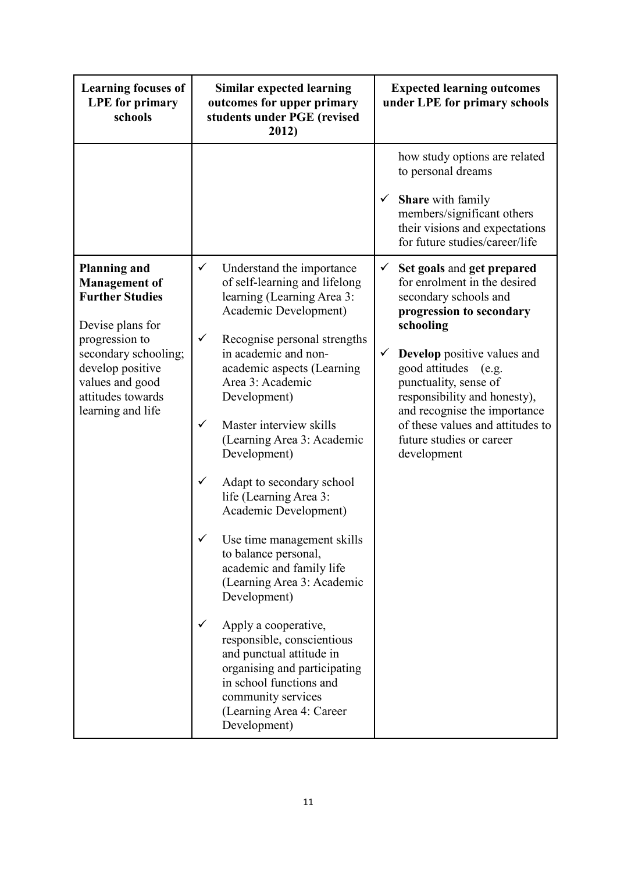| <b>Learning focuses of</b><br><b>LPE</b> for primary<br>schools                                                                                                                                                      | <b>Similar expected learning</b><br>outcomes for upper primary<br>students under PGE (revised<br>2012)                                                                                                                                                                                                                                                                                                                                                                                                                                                                                                                                                                                                                                                                                                                              | <b>Expected learning outcomes</b><br>under LPE for primary schools                                                                                                                                                                                                                                                                                                                                 |
|----------------------------------------------------------------------------------------------------------------------------------------------------------------------------------------------------------------------|-------------------------------------------------------------------------------------------------------------------------------------------------------------------------------------------------------------------------------------------------------------------------------------------------------------------------------------------------------------------------------------------------------------------------------------------------------------------------------------------------------------------------------------------------------------------------------------------------------------------------------------------------------------------------------------------------------------------------------------------------------------------------------------------------------------------------------------|----------------------------------------------------------------------------------------------------------------------------------------------------------------------------------------------------------------------------------------------------------------------------------------------------------------------------------------------------------------------------------------------------|
|                                                                                                                                                                                                                      |                                                                                                                                                                                                                                                                                                                                                                                                                                                                                                                                                                                                                                                                                                                                                                                                                                     | how study options are related<br>to personal dreams<br><b>Share</b> with family<br>$\checkmark$<br>members/significant others<br>their visions and expectations<br>for future studies/career/life                                                                                                                                                                                                  |
| <b>Planning and</b><br><b>Management</b> of<br><b>Further Studies</b><br>Devise plans for<br>progression to<br>secondary schooling;<br>develop positive<br>values and good<br>attitudes towards<br>learning and life | $\checkmark$<br>Understand the importance<br>of self-learning and lifelong<br>learning (Learning Area 3:<br>Academic Development)<br>$\checkmark$<br>Recognise personal strengths<br>in academic and non-<br>academic aspects (Learning<br>Area 3: Academic<br>Development)<br>$\checkmark$<br>Master interview skills<br>(Learning Area 3: Academic<br>Development)<br>$\checkmark$<br>Adapt to secondary school<br>life (Learning Area 3:<br>Academic Development)<br>Use time management skills<br>to balance personal,<br>academic and family life<br>(Learning Area 3: Academic<br>Development)<br>$\checkmark$<br>Apply a cooperative,<br>responsible, conscientious<br>and punctual attitude in<br>organising and participating<br>in school functions and<br>community services<br>(Learning Area 4: Career<br>Development) | Set goals and get prepared<br>$\checkmark$<br>for enrolment in the desired<br>secondary schools and<br>progression to secondary<br>schooling<br>$\checkmark$<br><b>Develop</b> positive values and<br>good attitudes (e.g.<br>punctuality, sense of<br>responsibility and honesty),<br>and recognise the importance<br>of these values and attitudes to<br>future studies or career<br>development |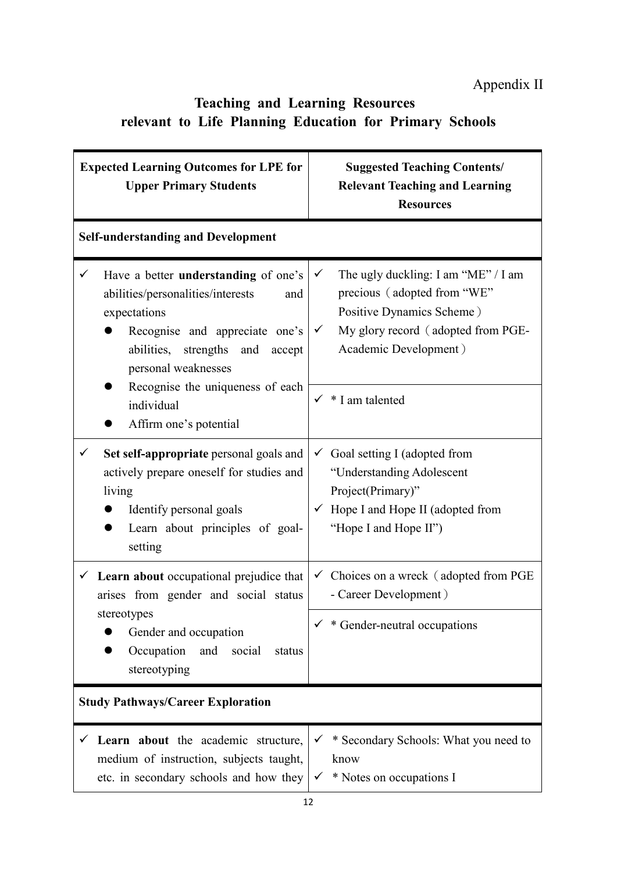## **Teaching and Learning Resources relevant to Life Planning Education for Primary Schools**

| <b>Expected Learning Outcomes for LPE for</b><br><b>Upper Primary Students</b>                                                                                                                                  | <b>Suggested Teaching Contents/</b><br><b>Relevant Teaching and Learning</b><br><b>Resources</b>                                                                                    |
|-----------------------------------------------------------------------------------------------------------------------------------------------------------------------------------------------------------------|-------------------------------------------------------------------------------------------------------------------------------------------------------------------------------------|
| <b>Self-understanding and Development</b>                                                                                                                                                                       |                                                                                                                                                                                     |
| $\checkmark$<br>Have a better understanding of one's<br>abilities/personalities/interests<br>and<br>expectations<br>Recognise and appreciate one's<br>abilities, strengths and<br>accept<br>personal weaknesses | The ugly duckling: I am "ME" / I am<br>$\checkmark$<br>precious (adopted from "WE"<br>Positive Dynamics Scheme)<br>My glory record (adopted from PGE-<br>✓<br>Academic Development) |
| Recognise the uniqueness of each<br>individual<br>Affirm one's potential                                                                                                                                        | * I am talented<br>$\checkmark$                                                                                                                                                     |
| Set self-appropriate personal goals and<br>✓<br>actively prepare oneself for studies and<br>living<br>Identify personal goals<br>Learn about principles of goal-<br>0<br>setting                                | $\checkmark$ Goal setting I (adopted from<br>"Understanding Adolescent<br>Project(Primary)"<br>Hope I and Hope II (adopted from<br>"Hope I and Hope II")                            |
| $\checkmark$ Learn about occupational prejudice that<br>arises from gender and social status                                                                                                                    | $\checkmark$ Choices on a wreck (adopted from PGE<br>- Career Development)                                                                                                          |
| stereotypes<br>Gender and occupation<br>Occupation<br>and<br>social<br>status<br>stereotyping                                                                                                                   | * Gender-neutral occupations                                                                                                                                                        |
| <b>Study Pathways/Career Exploration</b>                                                                                                                                                                        |                                                                                                                                                                                     |
| $\checkmark$ Learn about the academic structure,<br>medium of instruction, subjects taught,<br>etc. in secondary schools and how they                                                                           | $\checkmark$ * Secondary Schools: What you need to<br>know<br>* Notes on occupations I<br>$\checkmark$                                                                              |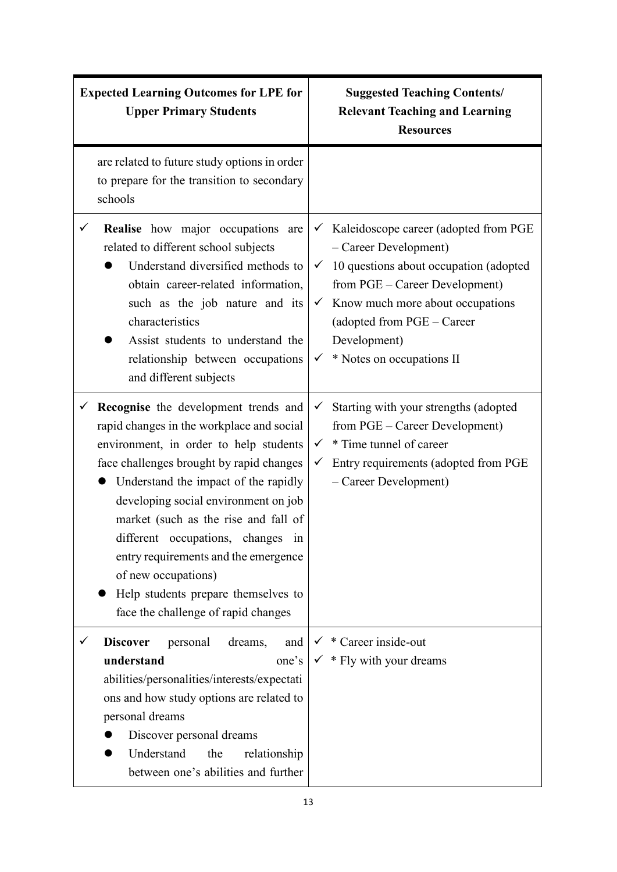| <b>Expected Learning Outcomes for LPE for</b><br><b>Upper Primary Students</b> |                                                                                                                                                                                                                                                                                                                                                                                                                                                            | <b>Suggested Teaching Contents/</b><br><b>Relevant Teaching and Learning</b><br><b>Resources</b>                                                                                                                                                                                                       |
|--------------------------------------------------------------------------------|------------------------------------------------------------------------------------------------------------------------------------------------------------------------------------------------------------------------------------------------------------------------------------------------------------------------------------------------------------------------------------------------------------------------------------------------------------|--------------------------------------------------------------------------------------------------------------------------------------------------------------------------------------------------------------------------------------------------------------------------------------------------------|
| schools                                                                        | are related to future study options in order<br>to prepare for the transition to secondary                                                                                                                                                                                                                                                                                                                                                                 |                                                                                                                                                                                                                                                                                                        |
| ✓<br>characteristics                                                           | Realise how major occupations are<br>related to different school subjects<br>Understand diversified methods to<br>obtain career-related information,<br>such as the job nature and its<br>Assist students to understand the<br>relationship between occupations<br>and different subjects                                                                                                                                                                  | Kaleidoscope career (adopted from PGE<br>$\checkmark$<br>- Career Development)<br>10 questions about occupation (adopted<br>$\checkmark$<br>from PGE – Career Development)<br>$\checkmark$ Know much more about occupations<br>(adopted from PGE - Career<br>Development)<br>* Notes on occupations II |
| ✓<br>of new occupations)                                                       | Recognise the development trends and<br>rapid changes in the workplace and social<br>environment, in order to help students<br>face challenges brought by rapid changes<br>Understand the impact of the rapidly<br>developing social environment on job<br>market (such as the rise and fall of<br>different occupations, changes in<br>entry requirements and the emergence<br>Help students prepare themselves to<br>face the challenge of rapid changes | Starting with your strengths (adopted<br>$\checkmark$<br>from PGE – Career Development)<br>* Time tunnel of career<br>$\checkmark$<br>Entry requirements (adopted from PGE<br>✓<br>- Career Development)                                                                                               |
| <b>Discover</b><br>understand<br>personal dreams<br>Understand                 | personal<br>dreams,<br>and<br>one's<br>abilities/personalities/interests/expectati<br>ons and how study options are related to<br>Discover personal dreams<br>the<br>relationship<br>between one's abilities and further                                                                                                                                                                                                                                   | * Career inside-out<br>* Fly with your dreams<br>$\checkmark$                                                                                                                                                                                                                                          |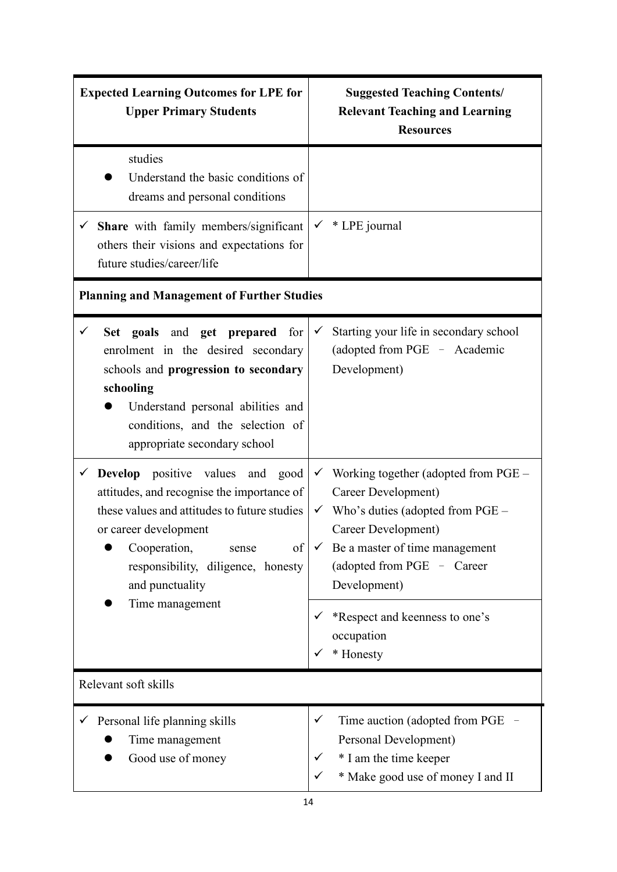| <b>Expected Learning Outcomes for LPE for</b><br><b>Upper Primary Students</b>                                                                                                                                                                                                        | <b>Suggested Teaching Contents/</b><br><b>Relevant Teaching and Learning</b><br><b>Resources</b>                                                                                                                                                                                              |
|---------------------------------------------------------------------------------------------------------------------------------------------------------------------------------------------------------------------------------------------------------------------------------------|-----------------------------------------------------------------------------------------------------------------------------------------------------------------------------------------------------------------------------------------------------------------------------------------------|
| studies<br>Understand the basic conditions of<br>dreams and personal conditions                                                                                                                                                                                                       |                                                                                                                                                                                                                                                                                               |
| $\checkmark$ Share with family members/significant<br>others their visions and expectations for<br>future studies/career/life                                                                                                                                                         | * LPE journal<br>$\checkmark$                                                                                                                                                                                                                                                                 |
| <b>Planning and Management of Further Studies</b>                                                                                                                                                                                                                                     |                                                                                                                                                                                                                                                                                               |
| $\checkmark$<br>Set goals and get prepared<br>for<br>enrolment in the desired secondary<br>schools and progression to secondary<br>schooling<br>Understand personal abilities and<br>conditions, and the selection of<br>appropriate secondary school                                 | Starting your life in secondary school<br>✓<br>(adopted from PGE - Academic<br>Development)                                                                                                                                                                                                   |
| positive values<br>$\checkmark$ Develop<br>and good<br>attitudes, and recognise the importance of<br>these values and attitudes to future studies<br>or career development<br>Cooperation,<br>of<br>sense<br>responsibility, diligence, honesty<br>and punctuality<br>Time management | $\checkmark$ Working together (adopted from PGE –<br>Career Development)<br>$\checkmark$ Who's duties (adopted from PGE –<br>Career Development)<br>Be a master of time management<br>(adopted from PGE - Career<br>Development)<br>*Respect and keenness to one's<br>occupation<br>* Honesty |
| Relevant soft skills                                                                                                                                                                                                                                                                  |                                                                                                                                                                                                                                                                                               |
| Personal life planning skills<br>$\checkmark$<br>Time management<br>Good use of money                                                                                                                                                                                                 | Time auction (adopted from PGE $-$<br>✓<br>Personal Development)<br>* I am the time keeper<br>* Make good use of money I and II                                                                                                                                                               |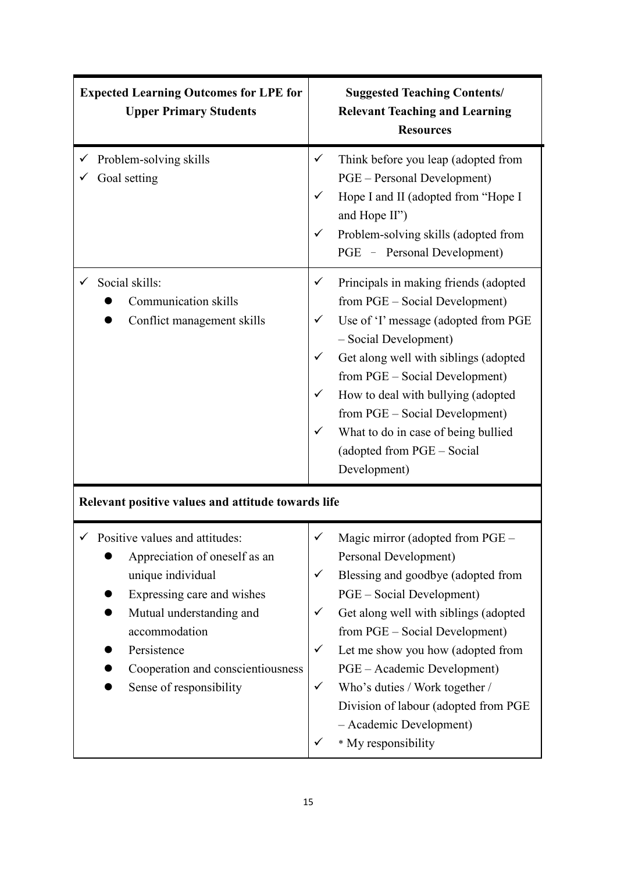| <b>Expected Learning Outcomes for LPE for</b><br><b>Upper Primary Students</b>                                                                                                                                                                                                                                    | <b>Suggested Teaching Contents/</b><br><b>Relevant Teaching and Learning</b><br><b>Resources</b>                                                                                                                                                                                                                                                                                                                          |
|-------------------------------------------------------------------------------------------------------------------------------------------------------------------------------------------------------------------------------------------------------------------------------------------------------------------|---------------------------------------------------------------------------------------------------------------------------------------------------------------------------------------------------------------------------------------------------------------------------------------------------------------------------------------------------------------------------------------------------------------------------|
| Problem-solving skills<br>Goal setting                                                                                                                                                                                                                                                                            | Think before you leap (adopted from<br>PGE – Personal Development)<br>Hope I and II (adopted from "Hope I<br>and Hope II")<br>Problem-solving skills (adopted from<br>PGE - Personal Development)                                                                                                                                                                                                                         |
| Social skills:<br><b>Communication skills</b><br>Conflict management skills                                                                                                                                                                                                                                       | Principals in making friends (adopted<br>✓<br>from PGE – Social Development)<br>Use of 'I' message (adopted from PGE<br>✓<br>- Social Development)<br>Get along well with siblings (adopted<br>✓<br>from PGE – Social Development)<br>How to deal with bullying (adopted<br>✓<br>from PGE – Social Development)<br>What to do in case of being bullied<br>✓<br>(adopted from PGE - Social<br>Development)                 |
| Relevant positive values and attitude towards life<br>$\checkmark$ Positive values and attitudes:<br>Appreciation of oneself as an<br>unique individual<br>Expressing care and wishes<br>Mutual understanding and<br>accommodation<br>Persistence<br>Cooperation and conscientiousness<br>Sense of responsibility | Magic mirror (adopted from PGE<br>Personal Development)<br>Blessing and goodbye (adopted from<br>✓<br>PGE – Social Development)<br>Get along well with siblings (adopted<br>✓<br>from PGE – Social Development)<br>Let me show you how (adopted from<br>✓<br>PGE – Academic Development)<br>Who's duties / Work together /<br>✓<br>Division of labour (adopted from PGE<br>- Academic Development)<br>* My responsibility |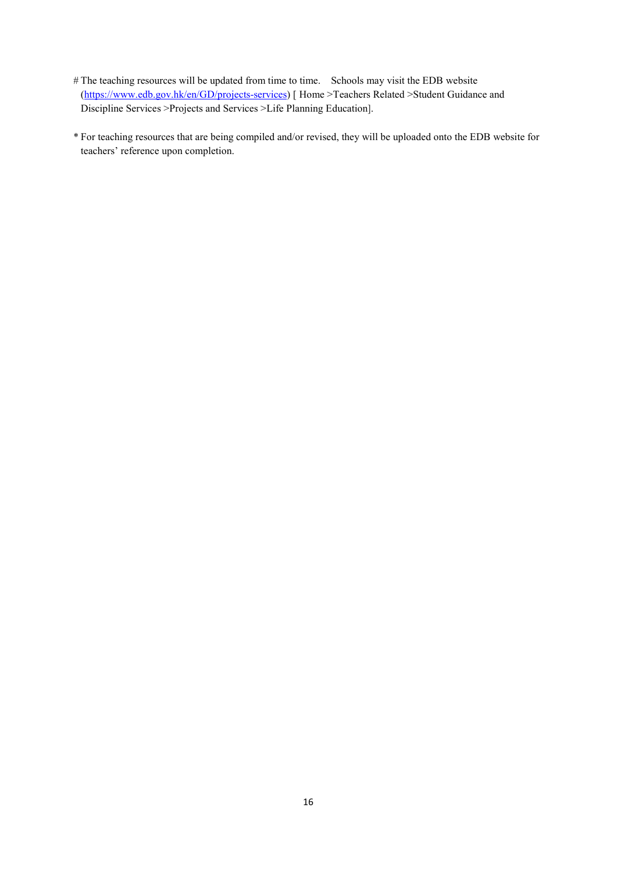- # The teaching resources will be updated from time to time. Schools may visit the EDB website [\(https://www.edb.gov.hk/en/GD/projects-services\)](https://www.edb.gov.hk/en/GD/projects-services) [ [Home >Teachers Related >](https://www.edb.gov.hk/en/index.html)[Student Guidance and](https://www.edb.gov.hk/en/teacher/student-guidance-discipline-services/about-student-guidance-discipline-services/index.html)  [Discipline Services >](https://www.edb.gov.hk/en/teacher/student-guidance-discipline-services/about-student-guidance-discipline-services/index.html)[Projects and Services >Life](https://www.edb.gov.hk/en/teacher/student-guidance-discipline-services/projects-services/index.html) Planning Education].
- \* For teaching resources that are being compiled and/or revised, they will be uploaded onto the EDB website for teachers' reference upon completion.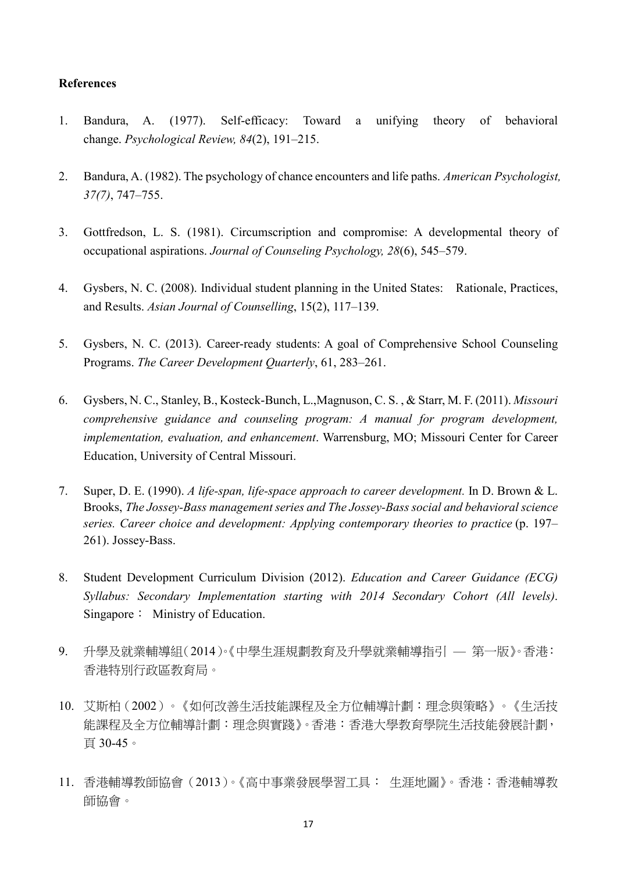#### **References**

- 1. Bandura, A. (1977). Self-efficacy: Toward a unifying theory of behavioral change. *Psychological Review, 84*(2), 191–215.
- 2. Bandura, A. (1982). The psychology of chance encounters and life paths. *American Psychologist, 37(7)*, 747–755.
- 3. Gottfredson, L. S. (1981). Circumscription and compromise: A developmental theory of occupational aspirations. *Journal of Counseling Psychology, 28*(6), 545–579.
- 4. Gysbers, N. C. (2008). Individual student planning in the United States: Rationale, Practices, and Results. *Asian Journal of Counselling*, 15(2), 117–139.
- 5. Gysbers, N. C. (2013). Career-ready students: A goal of Comprehensive School Counseling Programs. *The Career Development Quarterly*, 61, 283–261.
- 6. Gysbers, N. C., Stanley, B., Kosteck-Bunch, L.,Magnuson, C. S. , & Starr, M. F. (2011). *Missouri comprehensive guidance and counseling program: A manual for program development, implementation, evaluation, and enhancement*. Warrensburg, MO; Missouri Center for Career Education, University of Central Missouri.
- 7. Super, D. E. (1990). *A life-span, life-space approach to career development.* In D. Brown & L. Brooks, *The Jossey-Bass management series and The Jossey-Bass social and behavioral science series. Career choice and development: Applying contemporary theories to practice* (p. 197– 261). Jossey-Bass.
- 8. Student Development Curriculum Division (2012). *Education and Career Guidance (ECG) Syllabus: Secondary Implementation starting with 2014 Secondary Cohort (All levels)*. Singapore: Ministry of Education.
- 9. 升學及就業輔導組(2014)。《中學生涯規劃教育及升學就業輔導指引 第一版》。香港: 香港特別行政區教育局。
- 10. 艾斯柏(2002)。《如何改善生活技能課程及全方位輔導計劃︰理念與策略》。《生活技 能課程及全方位輔導計劃︰理念與實踐》。香港︰香港大學教育學院生活技能發展計劃, 頁 30-45。
- 11. 香港輔導教師協會(2013)。《高中事業發展學習工具: 生涯地圖》。香港:香港輔導教 師協會。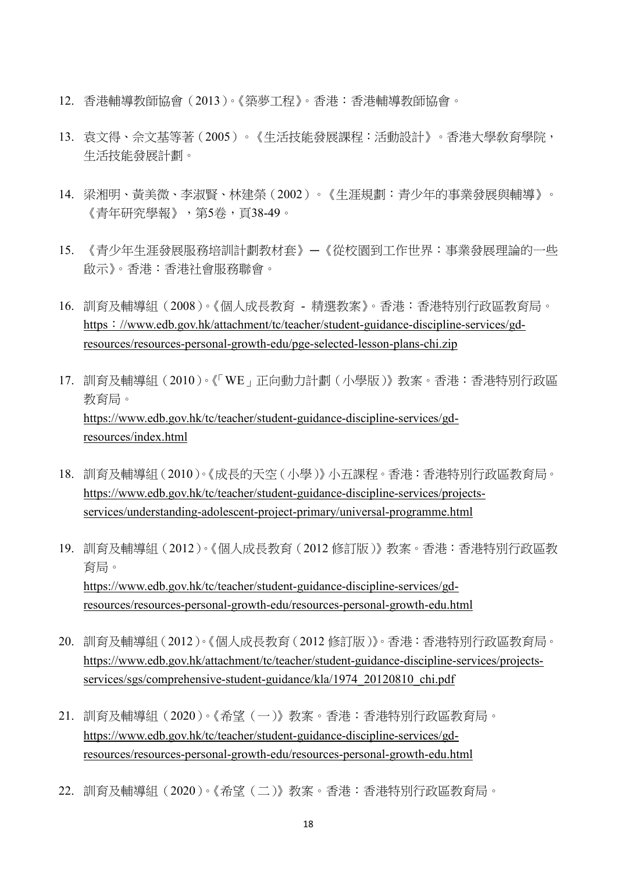- 12. 香港輔導教師協會(2013)。《築夢工程》。香港:香港輔導教師協會。
- 13. 袁文得、佘文基等著(2005)。《生活技能發展課程:活動設計》。香港大學敎育學院, 生活技能發展計劃。
- 14. 梁湘明、黃美微、李淑賢、林建榮(2002)。《生涯規劃︰青少年的事業發展與輔導》。 《青年研究學報》,第5卷,頁38-49。
- 15. 《青少年生涯發展服務培訓計劃教材套》—《從校園到工作世界:事業發展理論的一些 啟示》。香港:香港社會服務聯會。
- 16. 訓育及輔導組(2008)。《個人成長教育 精選教案》。香港:香港特別行政區教育局。 https:[//www.edb.gov.hk/attachment/tc/teacher/student-guidance-discipline-services/gd](https://www.edb.gov.hk/attachment/tc/teacher/student-guidance-discipline-services/gd-resources/resources-personal-growth-edu/pge-selected-lesson-plans-chi.zip)[resources/resources-personal-growth-edu/pge-selected-lesson-plans-chi.zip](https://www.edb.gov.hk/attachment/tc/teacher/student-guidance-discipline-services/gd-resources/resources-personal-growth-edu/pge-selected-lesson-plans-chi.zip)
- 17. 訓育及輔導組(2010)。《「WE」正向動力計劃(小學版)》教案。香港:香港特別行政區 教育局。 [https://www.edb.gov.hk/tc/teacher/student-guidance-discipline-services/gd](https://www.edb.gov.hk/tc/teacher/student-guidance-discipline-services/gd-resources/index.html)[resources/index.html](https://www.edb.gov.hk/tc/teacher/student-guidance-discipline-services/gd-resources/index.html)
- 18. 訓育及輔導組(2010)。《成長的天空(小學)》小五課程。香港:香港特別行政區教育局。 [https://www.edb.gov.hk/tc/teacher/student-guidance-discipline-services/projects](https://www.edb.gov.hk/tc/teacher/student-guidance-discipline-services/projects-services/understanding-adolescent-project-primary/universal-programme.html)[services/understanding-adolescent-project-primary/universal-programme.html](https://www.edb.gov.hk/tc/teacher/student-guidance-discipline-services/projects-services/understanding-adolescent-project-primary/universal-programme.html)
- 19. 訓育及輔導組(2012)。《個人成長教育(2012 修訂版)》教案。香港:香港特別行政區教 育局。 [https://www.edb.gov.hk/tc/teacher/student-guidance-discipline-services/gd](https://www.edb.gov.hk/tc/teacher/student-guidance-discipline-services/gd-resources/resources-personal-growth-edu/resources-personal-growth-edu.html)[resources/resources-personal-growth-edu/resources-personal-growth-edu.html](https://www.edb.gov.hk/tc/teacher/student-guidance-discipline-services/gd-resources/resources-personal-growth-edu/resources-personal-growth-edu.html)
- 20. 訓育及輔導組(2012)。《個人成長教育(2012 修訂版)》。香港:香港特別行政區教育局。 [https://www.edb.gov.hk/attachment/tc/teacher/student-guidance-discipline-services/projects](https://www.edb.gov.hk/attachment/tc/teacher/student-guidance-discipline-services/projects-services/sgs/comprehensive-student-guidance/kla/1974_20120810_chi.pdf)[services/sgs/comprehensive-student-guidance/kla/1974\\_20120810\\_chi.pdf](https://www.edb.gov.hk/attachment/tc/teacher/student-guidance-discipline-services/projects-services/sgs/comprehensive-student-guidance/kla/1974_20120810_chi.pdf)
- 21. 訓育及輔導組(2020)。《希望(一)》教案。香港:香港特別行政區教育局。 [https://www.edb.gov.hk/tc/teacher/student-guidance-discipline-services/gd](https://www.edb.gov.hk/tc/teacher/student-guidance-discipline-services/gd-resources/resources-personal-growth-edu/resources-personal-growth-edu.html)[resources/resources-personal-growth-edu/resources-personal-growth-edu.html](https://www.edb.gov.hk/tc/teacher/student-guidance-discipline-services/gd-resources/resources-personal-growth-edu/resources-personal-growth-edu.html)
- 22. 訓育及輔導組(2020)。《希望(二)》教案。香港:香港特別行政區教育局。